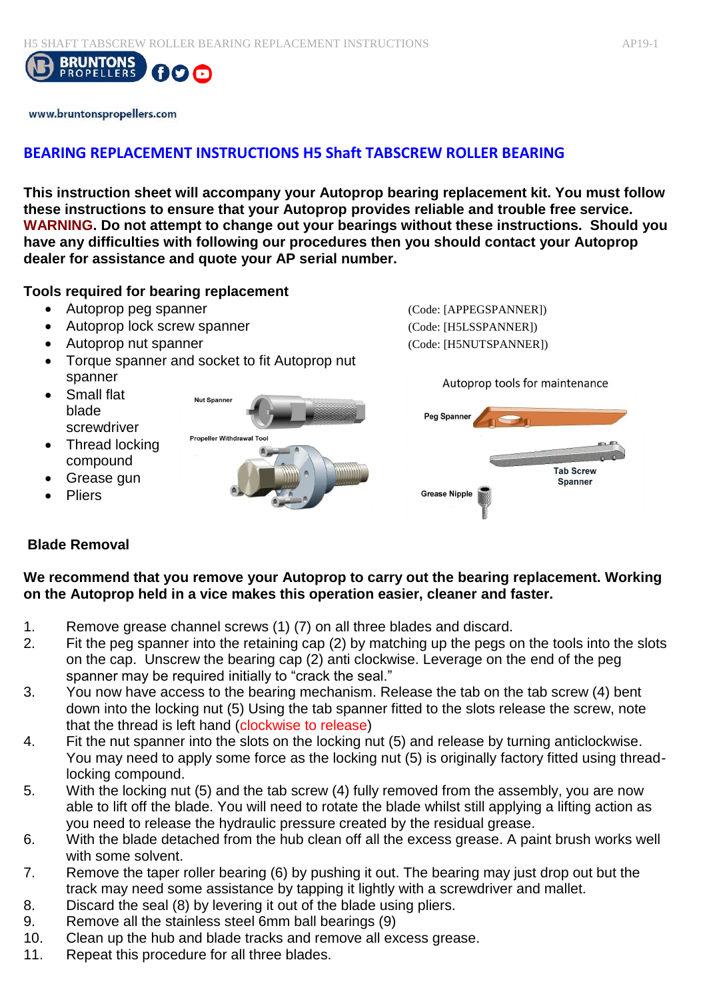

www.bruntonspropellers.com

# **BEARING REPLACEMENT INSTRUCTIONS H5 Shaft TABSCREW ROLLER BEARING**

**This instruction sheet will accompany your Autoprop bearing replacement kit. You must follow these instructions to ensure that your Autoprop provides reliable and trouble free service. WARNING. Do not attempt to change out your bearings without these instructions. Should you have any difficulties with following our procedures then you should contact your Autoprop dealer for assistance and quote your AP serial number.** 

#### **Tools required for bearing replacement**

- Autoprop peg spanner (Code: [APPEGSPANNER])
- Autoprop lock screw spanner (Code: [H5LSSPANNER])
- Autoprop nut spanner (Code: [H5NUTSPANNER])
- Torque spanner and socket to fit Autoprop nut spanner
- Small flat blade screwdriver
- Thread locking compound
- Grease gun
- Pliers



Autoprop tools for maintenance

| Peg Spanner          |                  |
|----------------------|------------------|
| š                    |                  |
|                      | <b>Tab Screw</b> |
|                      | <b>Spanner</b>   |
| <b>Grease Nipple</b> |                  |

## **Blade Removal**

### **We recommend that you remove your Autoprop to carry out the bearing replacement. Working on the Autoprop held in a vice makes this operation easier, cleaner and faster.**

- 1. Remove grease channel screws (1) (7) on all three blades and discard.
- 2. Fit the peg spanner into the retaining cap (2) by matching up the pegs on the tools into the slots on the cap. Unscrew the bearing cap (2) anti clockwise. Leverage on the end of the peg spanner may be required initially to "crack the seal."
- 3. You now have access to the bearing mechanism. Release the tab on the tab screw (4) bent down into the locking nut (5) Using the tab spanner fitted to the slots release the screw, note that the thread is left hand (clockwise to release)
- 4. Fit the nut spanner into the slots on the locking nut (5) and release by turning anticlockwise. You may need to apply some force as the locking nut (5) is originally factory fitted using threadlocking compound.
- 5. With the locking nut (5) and the tab screw (4) fully removed from the assembly, you are now able to lift off the blade. You will need to rotate the blade whilst still applying a lifting action as you need to release the hydraulic pressure created by the residual grease.
- 6. With the blade detached from the hub clean off all the excess grease. A paint brush works well with some solvent.
- 7. Remove the taper roller bearing (6) by pushing it out. The bearing may just drop out but the track may need some assistance by tapping it lightly with a screwdriver and mallet.
- 8. Discard the seal (8) by levering it out of the blade using pliers.
- 9. Remove all the stainless steel 6mm ball bearings (9)
- 10. Clean up the hub and blade tracks and remove all excess grease.
- 11. Repeat this procedure for all three blades.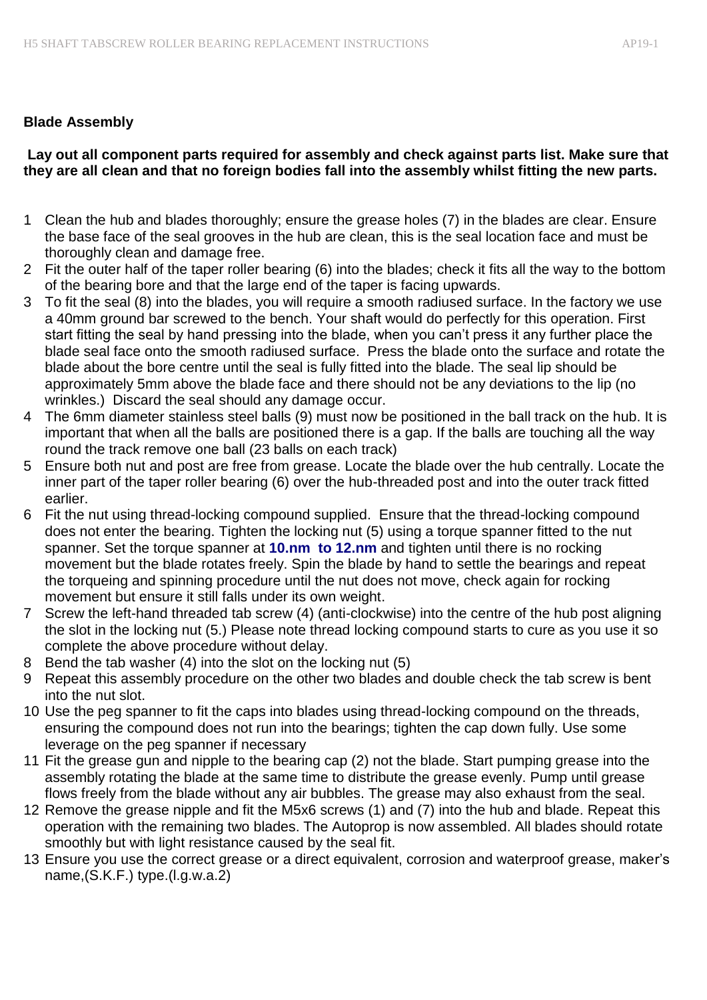## **Blade Assembly**

## **Lay out all component parts required for assembly and check against parts list. Make sure that they are all clean and that no foreign bodies fall into the assembly whilst fitting the new parts.**

- 1 Clean the hub and blades thoroughly; ensure the grease holes (7) in the blades are clear. Ensure the base face of the seal grooves in the hub are clean, this is the seal location face and must be thoroughly clean and damage free.
- 2 Fit the outer half of the taper roller bearing (6) into the blades; check it fits all the way to the bottom of the bearing bore and that the large end of the taper is facing upwards.
- 3 To fit the seal (8) into the blades, you will require a smooth radiused surface. In the factory we use a 40mm ground bar screwed to the bench. Your shaft would do perfectly for this operation. First start fitting the seal by hand pressing into the blade, when you can't press it any further place the blade seal face onto the smooth radiused surface. Press the blade onto the surface and rotate the blade about the bore centre until the seal is fully fitted into the blade. The seal lip should be approximately 5mm above the blade face and there should not be any deviations to the lip (no wrinkles.) Discard the seal should any damage occur.
- 4 The 6mm diameter stainless steel balls (9) must now be positioned in the ball track on the hub. It is important that when all the balls are positioned there is a gap. If the balls are touching all the way round the track remove one ball (23 balls on each track)
- 5 Ensure both nut and post are free from grease. Locate the blade over the hub centrally. Locate the inner part of the taper roller bearing (6) over the hub-threaded post and into the outer track fitted earlier.
- 6 Fit the nut using thread-locking compound supplied. Ensure that the thread-locking compound does not enter the bearing. Tighten the locking nut (5) using a torque spanner fitted to the nut spanner. Set the torque spanner at **10.nm to 12.nm** and tighten until there is no rocking movement but the blade rotates freely. Spin the blade by hand to settle the bearings and repeat the torqueing and spinning procedure until the nut does not move, check again for rocking movement but ensure it still falls under its own weight.
- 7 Screw the left-hand threaded tab screw (4) (anti-clockwise) into the centre of the hub post aligning the slot in the locking nut (5.) Please note thread locking compound starts to cure as you use it so complete the above procedure without delay.
- 8 Bend the tab washer (4) into the slot on the locking nut (5)
- 9 Repeat this assembly procedure on the other two blades and double check the tab screw is bent into the nut slot.
- 10 Use the peg spanner to fit the caps into blades using thread-locking compound on the threads, ensuring the compound does not run into the bearings; tighten the cap down fully. Use some leverage on the peg spanner if necessary
- 11 Fit the grease gun and nipple to the bearing cap (2) not the blade. Start pumping grease into the assembly rotating the blade at the same time to distribute the grease evenly. Pump until grease flows freely from the blade without any air bubbles. The grease may also exhaust from the seal.
- 12 Remove the grease nipple and fit the M5x6 screws (1) and (7) into the hub and blade. Repeat this operation with the remaining two blades. The Autoprop is now assembled. All blades should rotate smoothly but with light resistance caused by the seal fit.
- 13 Ensure you use the correct grease or a direct equivalent, corrosion and waterproof grease, maker's name,(S.K.F.) type.(l.g.w.a.2)